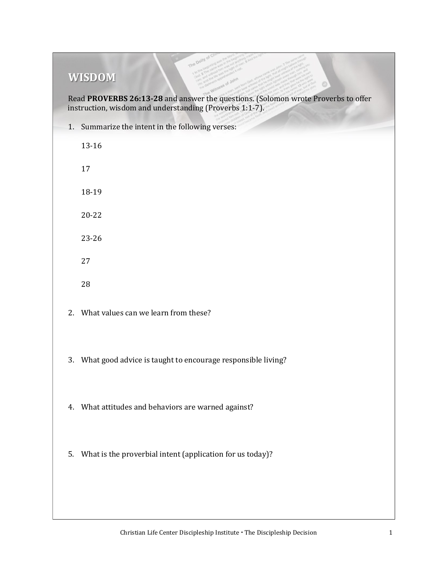## **WISDOM**

Read **PROVERBS 26:13-28** and answer the questions. (Solomon wrote Proverbs to offer instruction, wisdom and understanding (Proverbs 1:1-7).

1. Summarize the intent in the following verses:

13-16 17 18-19 20-22 23-26 27 28 2. What values can we learn from these?

- 3. What good advice is taught to encourage responsible living?
- 4. What attitudes and behaviors are warned against?
- 5. What is the proverbial intent (application for us today)?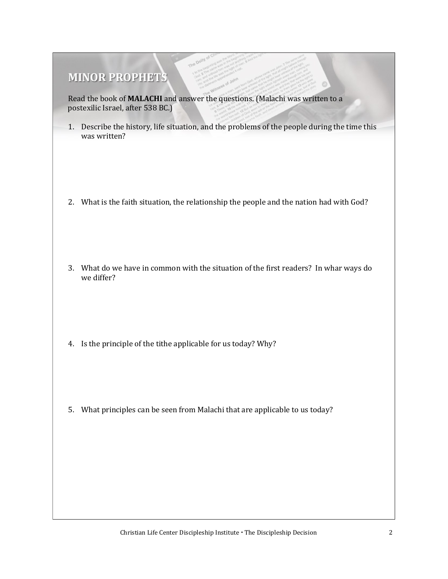## **MINOR PROPHETS**

Read the book of **MALACHI** and answer the questions. (Malachi was written to a postexilic Israel, after 538 BC.)

- 1. Describe the history, life situation, and the problems of the people during the time this was written?
- 2. What is the faith situation, the relationship the people and the nation had with God?
- 3. What do we have in common with the situation of the first readers? In whar ways do we differ?
- 4. Is the principle of the tithe applicable for us today? Why?
- 5. What principles can be seen from Malachi that are applicable to us today?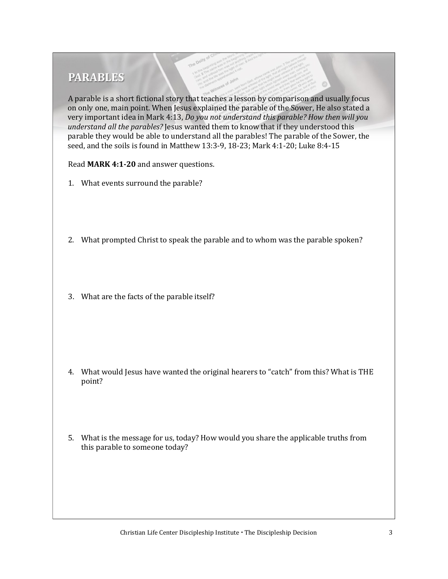## **PARABLES**

A parable is a short fictional story that teaches a lesson by comparison and usually focus on only one, main point. When Jesus explained the parable of the Sower, He also stated a very important idea in Mark 4:13, *Do you not understand this parable? How then will you understand all the parables?* Jesus wanted them to know that if they understood this parable they would be able to understand all the parables! The parable of the Sower, the seed, and the soils is found in Matthew 13:3-9, 18-23; Mark 4:1-20; Luke 8:4-15

Read **MARK 4:1-20** and answer questions.

- 1. What events surround the parable?
- 2. What prompted Christ to speak the parable and to whom was the parable spoken?
- 3. What are the facts of the parable itself?

- 4. What would Jesus have wanted the original hearers to "catch" from this? What is THE point?
- 5. What is the message for us, today? How would you share the applicable truths from this parable to someone today?